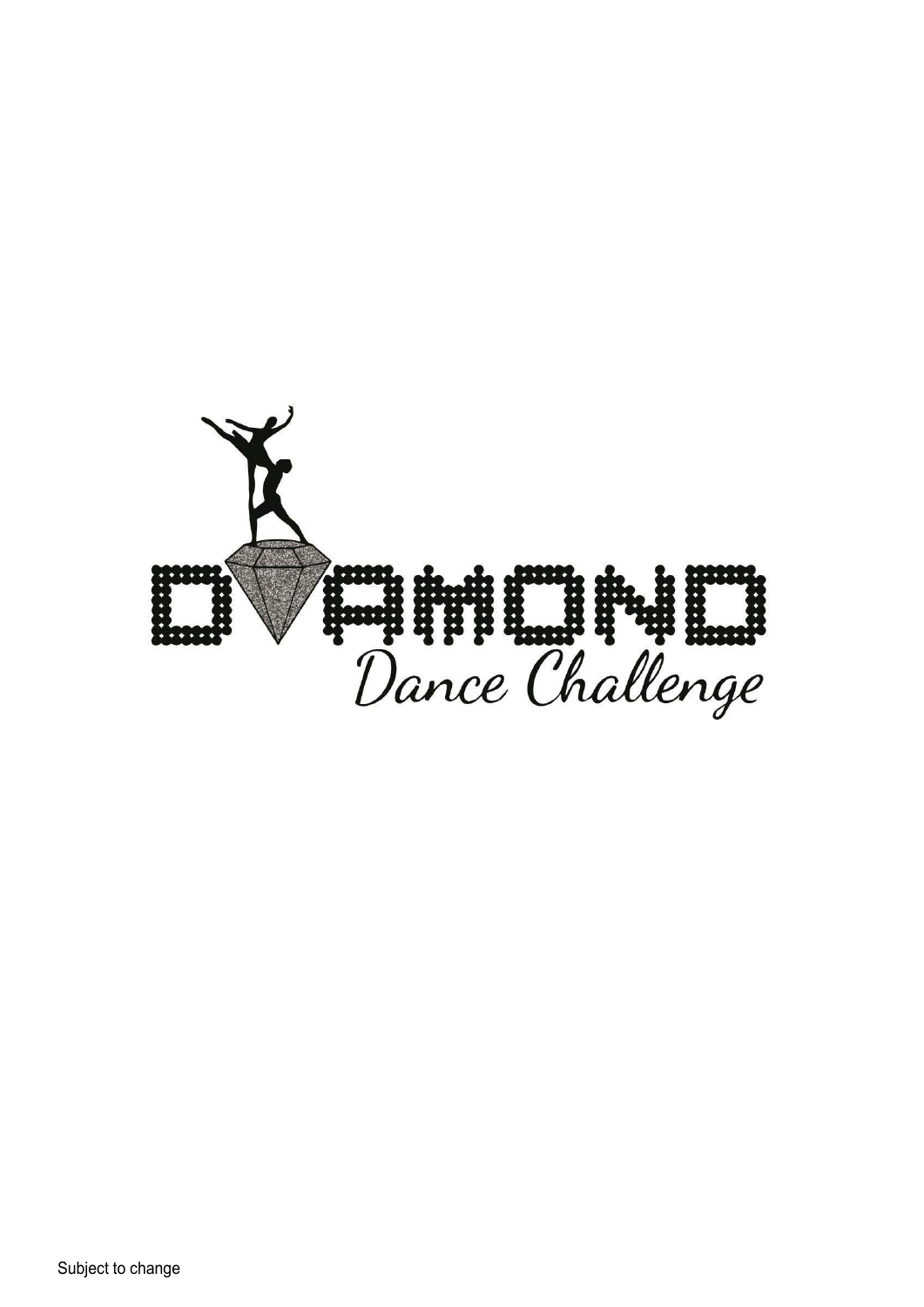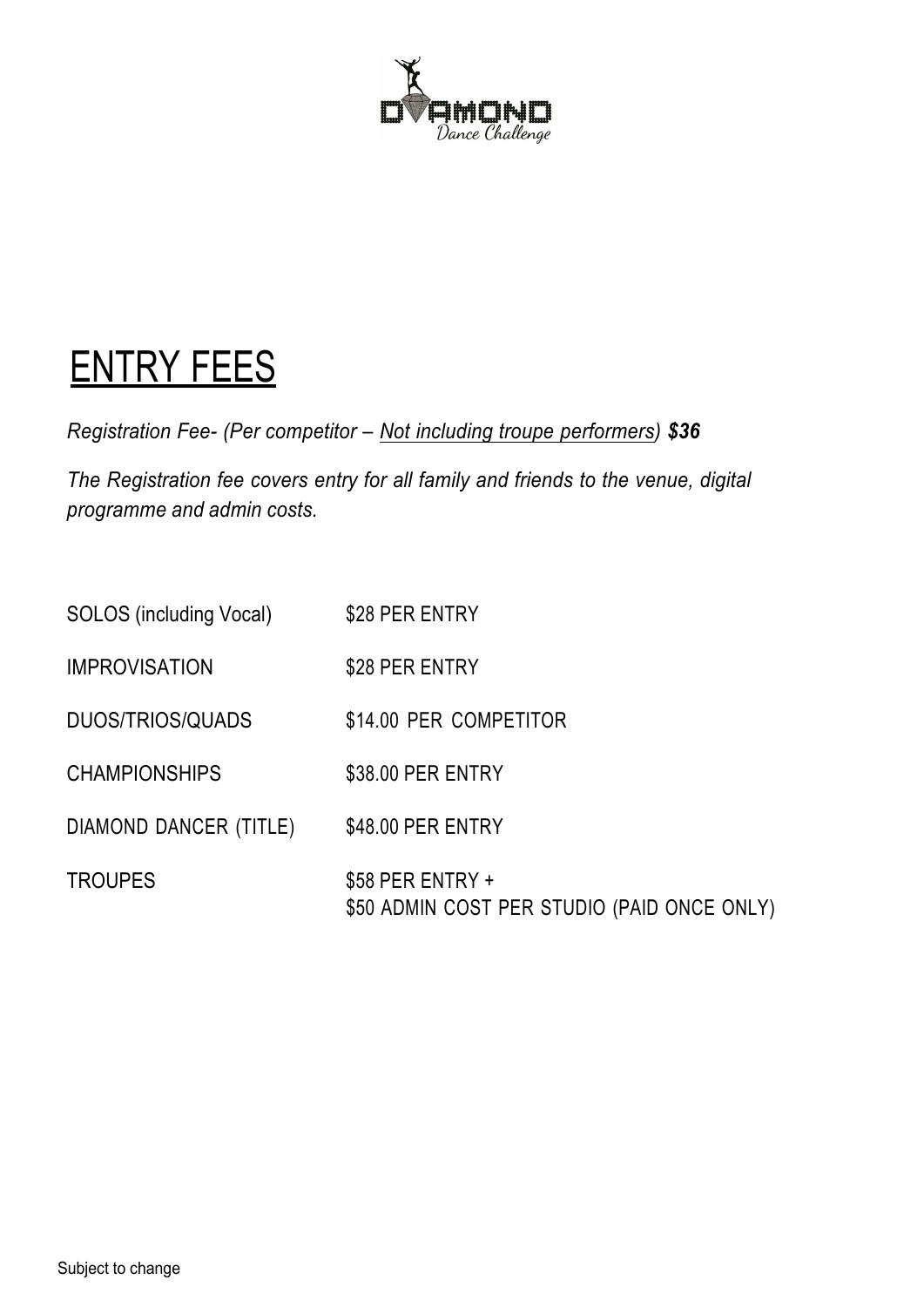

# ENTRY FEES

*Registration Fee- (Per competitor – Not including troupe performers) \$36*

*The Registration fee covers entry for all family and friends to the venue, digital programme and admin costs.*

| SOLOS (including Vocal) | \$28 PER ENTRY                                                  |
|-------------------------|-----------------------------------------------------------------|
| <b>IMPROVISATION</b>    | \$28 PER ENTRY                                                  |
| <b>DUOS/TRIOS/QUADS</b> | \$14.00 PER COMPETITOR                                          |
| <b>CHAMPIONSHIPS</b>    | \$38.00 PER ENTRY                                               |
| DIAMOND DANCER (TITLE)  | \$48.00 PER ENTRY                                               |
| <b>TROUPES</b>          | \$58 PER ENTRY +<br>\$50 ADMIN COST PER STUDIO (PAID ONCE ONLY) |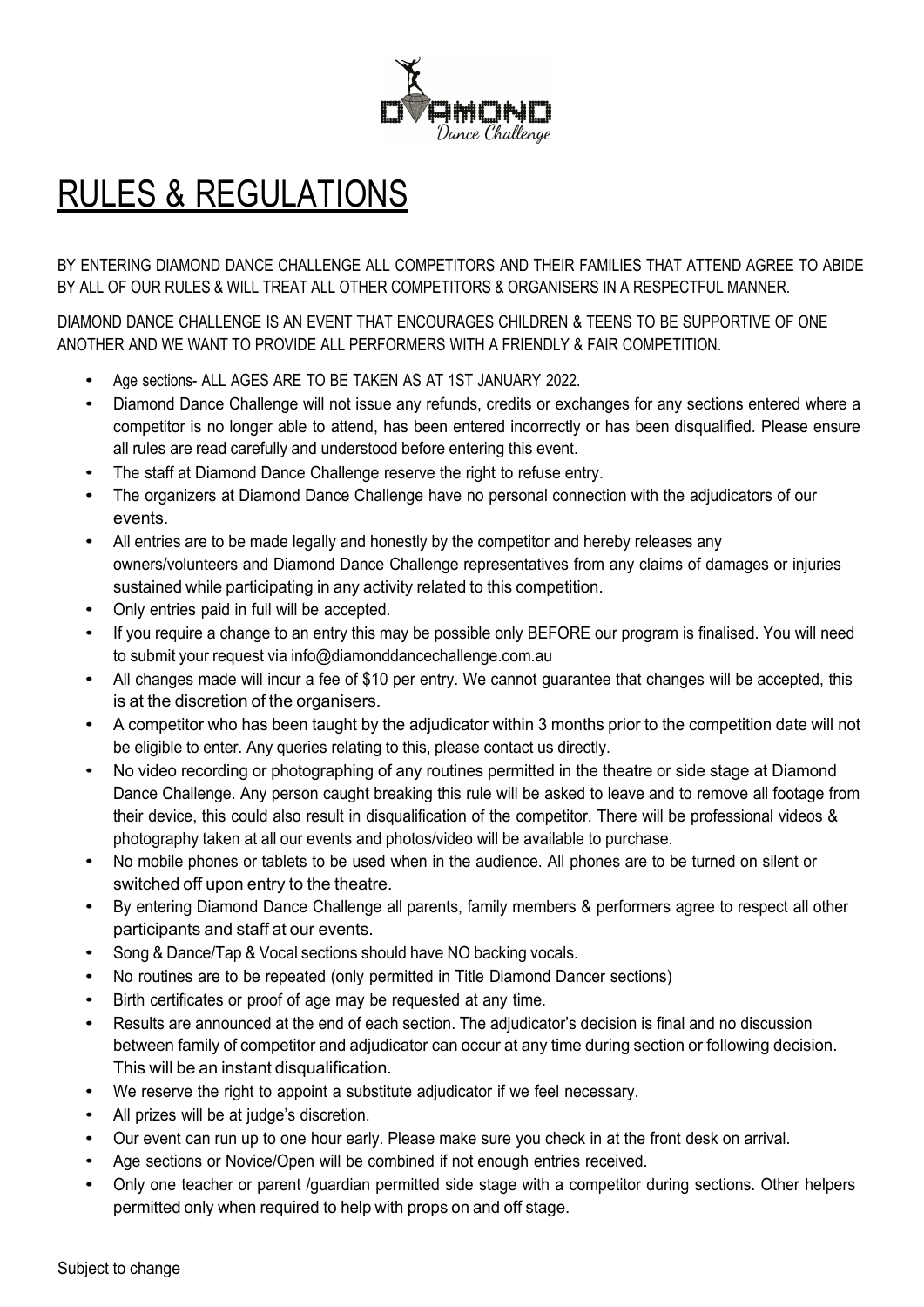

# RULES & REGULATIONS

BY ENTERING DIAMOND DANCE CHALLENGE ALL COMPETITORS AND THEIR FAMILIES THAT ATTEND AGREE TO ABIDE BY ALL OF OUR RULES & WILL TREAT ALL OTHER COMPETITORS & ORGANISERS IN A RESPECTFUL MANNER.

DIAMOND DANCE CHALLENGE IS AN EVENT THAT ENCOURAGES CHILDREN & TEENS TO BE SUPPORTIVE OF ONE ANOTHER AND WE WANT TO PROVIDE ALL PERFORMERS WITH A FRIENDLY & FAIR COMPETITION.

- Age sections- ALL AGES ARE TO BE TAKEN AS AT 1ST JANUARY 2022.
- Diamond Dance Challenge will not issue any refunds, credits or exchanges for any sections entered where a competitor is no longer able to attend, has been entered incorrectly or has been disqualified. Please ensure all rules are read carefully and understood before entering this event.
- The staff at Diamond Dance Challenge reserve the right to refuse entry.
- The organizers at Diamond Dance Challenge have no personal connection with the adjudicators of our events.
- All entries are to be made legally and honestly by the competitor and hereby releases any owners/volunteers and Diamond Dance Challenge representatives from any claims of damages or injuries sustained while participating in any activity related to this competition.
- Only entries paid in full will be accepted.
- If you require <sup>a</sup> change to an entry this may be possible only BEFORE our program is finalised. You will need to submit your request via info@diamonddancechallenge.com.au
- All changes made will incur a fee of \$10 per entry. We cannot guarantee that changes will be accepted, this is at the discretion of the organisers.
- A competitor who has been taught by the adjudicator within 3 months prior to the competition date will not be eligible to enter. Any queries relating to this, please contact us directly.
- No video recording or photographing of any routines permitted in the theatre or side stage at Diamond Dance Challenge. Any person caught breaking this rule will be asked to leave and to remove all footage from their device, this could also result in disqualification of the competitor. There will be professional videos & photography taken at all our events and photos/video will be available to purchase.
- No mobile phones or tablets to be used when in the audience. All phones are to be turned on silent or switched off upon entry to the theatre.
- By entering Diamond Dance Challenge all parents, family members & performers agree to respect all other participants and staff at our events.
- Song & Dance/Tap & Vocal sections should have NO backing vocals.
- No routines are to be repeated (only permitted in Title Diamond Dancer sections)
- Birth certificates or proof of age may be requested at any time.
- Results are announced at the end of each section. The adjudicator's decision is final and no discussion between family of competitor and adjudicator can occur at any time during section or following decision. This will be an instant disqualification.
- We reserve the right to appoint <sup>a</sup> substitute adjudicator if we feel necessary.
- All prizes will be at judge's discretion.
- Our event can run up to one hour early. Please make sure you check in at the front desk on arrival.
- Age sections or Novice/Open will be combined if not enough entries received.
- Only one teacher or parent /guardian permitted side stage with <sup>a</sup> competitor during sections. Other helpers permitted only when required to help with props on and off stage.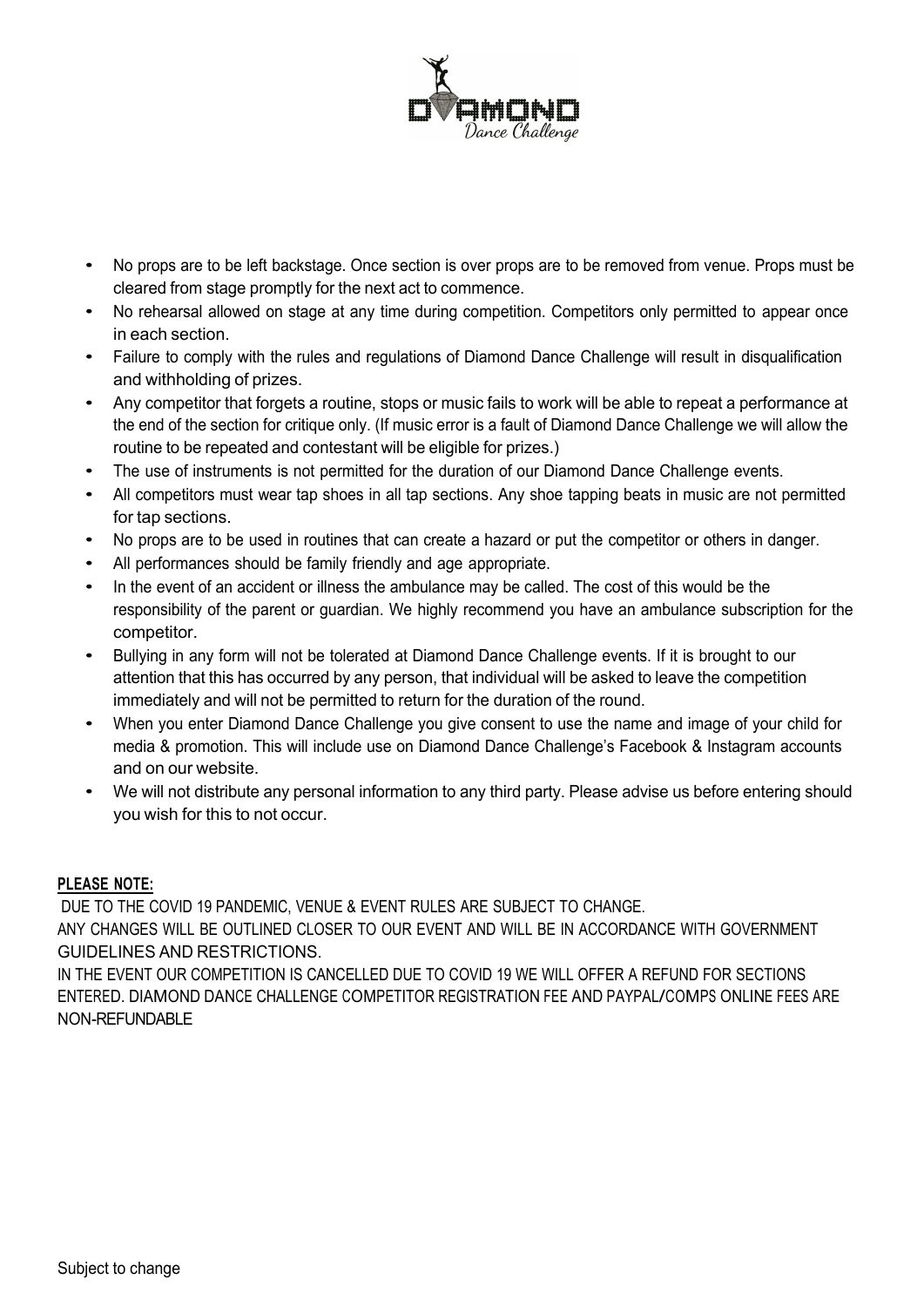

- No props are to be left backstage. Once section is over props are to be removed from venue. Props must be cleared from stage promptly for the next act to commence.
- No rehearsal allowed on stage at any time during competition. Competitors only permitted to appear once in each section.
- Failure to comply with the rules and regulations of Diamond Dance Challenge will result in disqualification and withholding of prizes.
- Any competitor that forgets a routine, stops or music fails to work will be able to repeat a performance at the end of the section for critique only. (If music error is a fault of Diamond Dance Challenge we will allow the routine to be repeated and contestant will be eligible for prizes.)
- The use of instruments is not permitted for the duration of our Diamond Dance Challenge events.
- All competitors must wear tap shoes in all tap sections. Any shoe tapping beats in music are not permitted for tap sections.
- No props are to be used in routines that can create <sup>a</sup> hazard or put the competitor or others in danger.
- All performances should be family friendly and age appropriate.
- In the event of an accident or illness the ambulance may be called. The cost of this would be the responsibility of the parent or guardian. We highly recommend you have an ambulance subscription for the competitor.
- Bullying in any form will not be tolerated at Diamond Dance Challenge events. If it is brought to our attention that this has occurred by any person, that individual will be asked to leave the competition immediately and will not be permitted to return for the duration of the round.
- When you enter Diamond Dance Challenge you give consent to use the name and image of your child for media & promotion. This will include use on Diamond Dance Challenge's Facebook & Instagram accounts and on our website.
- We will not distribute any personal information to any third party. Please advise us before entering should you wish for this to not occur.

#### **PLEASE NOTE:**

DUE TO THE COVID 19 PANDEMIC, VENUE & EVENT RULES ARE SUBJECT TO CHANGE.

ANY CHANGES WILL BE OUTLINED CLOSER TO OUR EVENT AND WILL BE IN ACCORDANCE WITH GOVERNMENT GUIDELINES AND RESTRICTIONS.

IN THE EVENT OUR COMPETITION IS CANCELLED DUE TO COVID 19 WE WILL OFFER A REFUND FOR SECTIONS ENTERED. DIAMOND DANCE CHALLENGE COMPETITOR REGISTRATION FEE AND PAYPAL/COMPS ONLINE FEES ARE NON-REFUNDABLE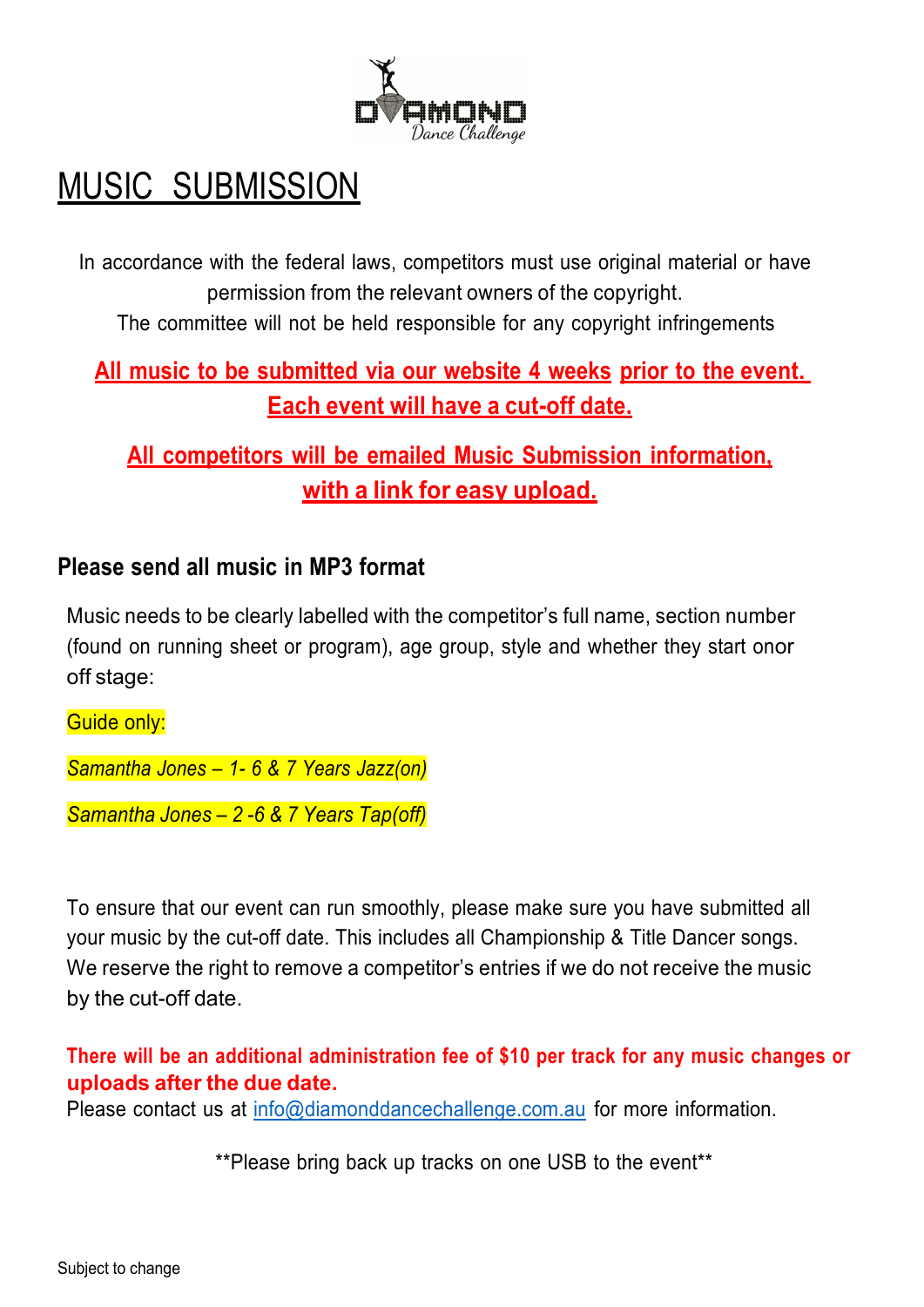

# MUSIC SUBMISSION

In accordance with the federal laws, competitors must use original material or have permission from the relevant owners of the copyright.

The committee will not be held responsible for any copyright infringements

### **All music to be submitted via our website 4 weeks prior to the event. Each event will have a cut-off date.**

**All competitors will be emailed Music Submission information, with a link for easy upload.**

### **Please send all music in MP3 format**

Music needs to be clearly labelled with the competitor's full name, section number (found on running sheet or program), age group, style and whether they start onor off stage:

Guide only: *Samantha Jones – 1- 6 & 7 Years Jazz(on)*

*Samantha Jones – 2 -6 & 7 Years Tap(off)*

To ensure that our event can run smoothly, please make sure you have submitted all your music by the cut-off date. This includes all Championship & Title Dancer songs. We reserve the right to remove a competitor's entries if we do not receive the music by the cut-off date.

**There will be an additional administration fee of \$10 per track for any music changes or uploads after the due date.**

Please contact us at  $info@diamonddiamondq$ nconddancechallenge.com.au for more information.

\*\*Please bring back up tracks on one USB to the event\*\*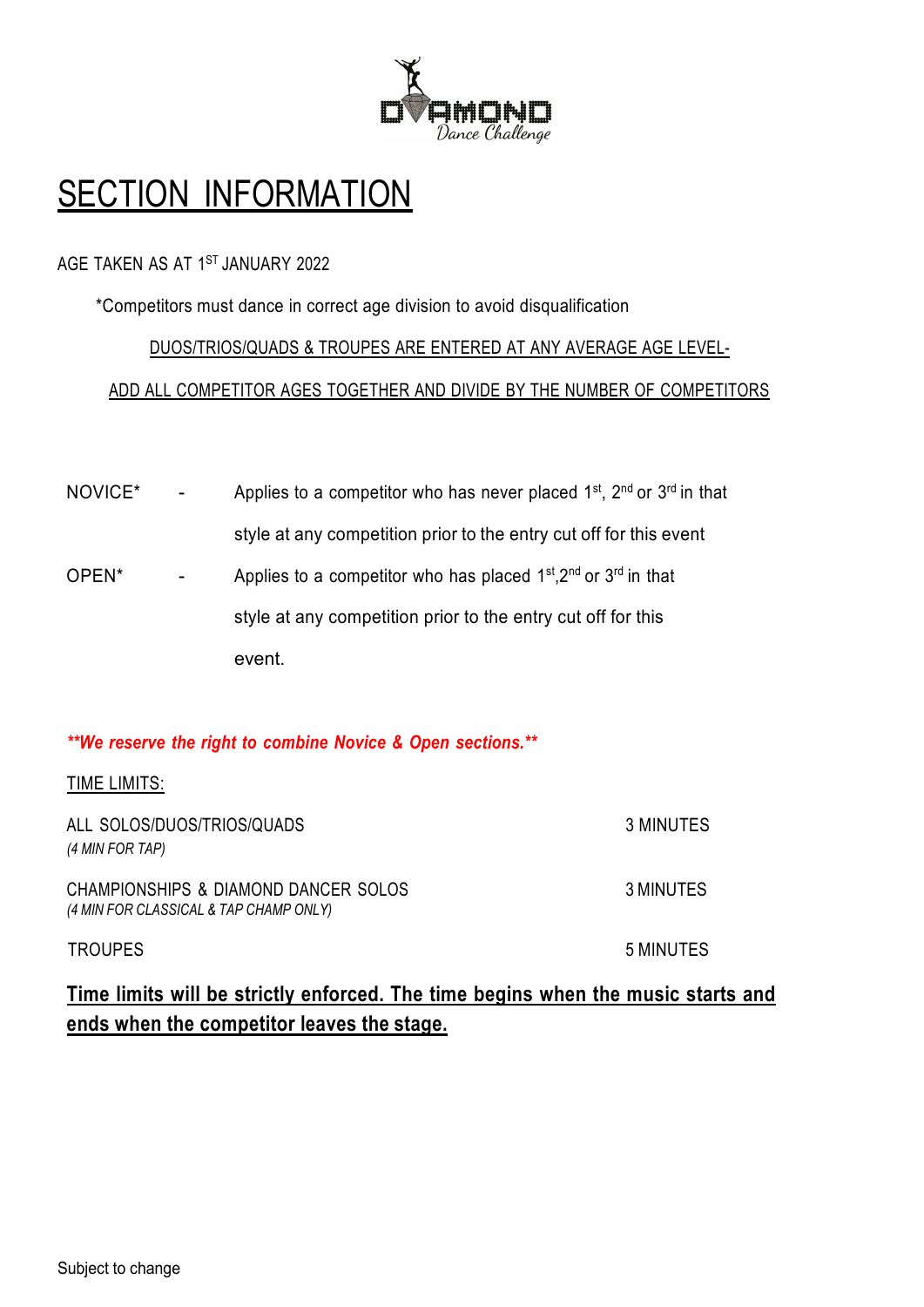

# **SECTION INFORMATION**

### AGE TAKEN AS AT 1ST JANUARY 2022

\*Competitors must dance in correct age division to avoid disqualification

### DUOS/TRIOS/QUADS & TROUPES ARE ENTERED AT ANY AVERAGE AGE LEVEL-

ADD ALL COMPETITOR AGES TOGETHER AND DIVIDE BY THE NUMBER OF COMPETITORS

| NOVICE*           | Applies to a competitor who has never placed $1st$ , $2nd$ or $3rd$ in that |
|-------------------|-----------------------------------------------------------------------------|
|                   | style at any competition prior to the entry cut off for this event          |
| OPEN <sup>*</sup> | Applies to a competitor who has placed $1st,2nd$ or $3rd$ in that           |
|                   | style at any competition prior to the entry cut off for this                |
|                   | event.                                                                      |

### *\*\*We reserve the right to combine Novice & Open sections.\*\**

#### TIME LIMITS:

| ALL SOLOS/DUOS/TRIOS/QUADS<br>(4 MIN FOR TAP)                                  | 3 MINUTES |
|--------------------------------------------------------------------------------|-----------|
| CHAMPIONSHIPS & DIAMOND DANCER SOLOS<br>(4 MIN FOR CLASSICAL & TAP CHAMP ONLY) | 3 MINUTES |
| <b>TROUPES</b>                                                                 | 5 MINUTES |

### **Time limits will be strictly enforced. The time begins when the music starts and ends when the competitor leaves the stage.**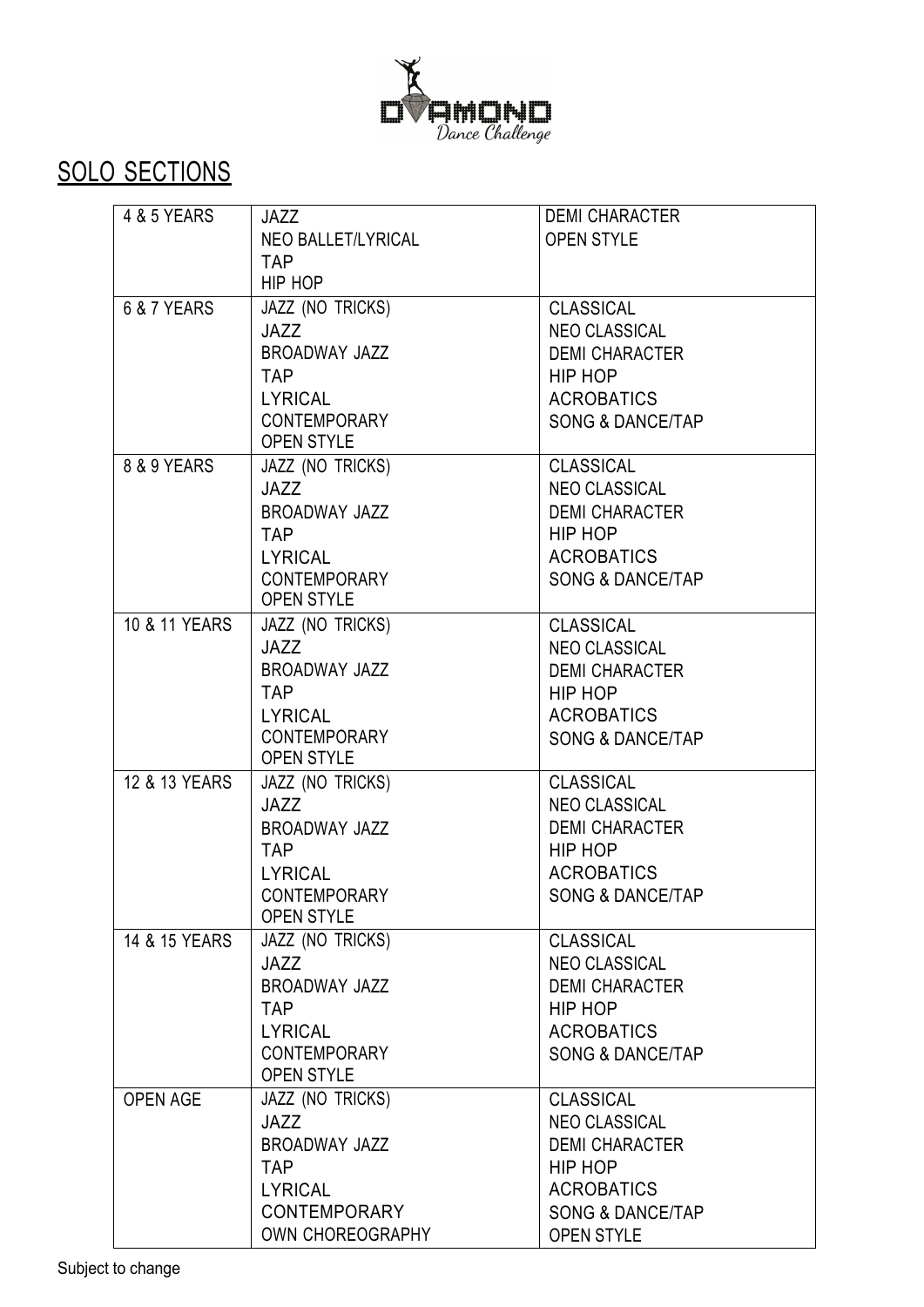

# SOLO SECTIONS

| 4 & 5 YEARS     | JAZZ                 | <b>DEMI CHARACTER</b>       |
|-----------------|----------------------|-----------------------------|
|                 | NEO BALLET/LYRICAL   | <b>OPEN STYLE</b>           |
|                 | <b>TAP</b>           |                             |
|                 | HIP HOP              |                             |
| 6 & 7 YEARS     | JAZZ (NO TRICKS)     | <b>CLASSICAL</b>            |
|                 | JAZZ                 | NEO CLASSICAL               |
|                 | <b>BROADWAY JAZZ</b> | <b>DEMI CHARACTER</b>       |
|                 | <b>TAP</b>           | HIP HOP                     |
|                 | <b>LYRICAL</b>       | <b>ACROBATICS</b>           |
|                 | <b>CONTEMPORARY</b>  | <b>SONG &amp; DANCE/TAP</b> |
|                 | <b>OPEN STYLE</b>    |                             |
| 8 & 9 YEARS     | JAZZ (NO TRICKS)     | <b>CLASSICAL</b>            |
|                 | JAZZ                 | <b>NEO CLASSICAL</b>        |
|                 | BROADWAY JAZZ        | <b>DEMI CHARACTER</b>       |
|                 | <b>TAP</b>           | HIP HOP                     |
|                 | <b>LYRICAL</b>       | <b>ACROBATICS</b>           |
|                 | CONTEMPORARY         | <b>SONG &amp; DANCE/TAP</b> |
|                 | <b>OPEN STYLE</b>    |                             |
| 10 & 11 YEARS   | JAZZ (NO TRICKS)     | <b>CLASSICAL</b>            |
|                 | JAZZ                 | <b>NEO CLASSICAL</b>        |
|                 | BROADWAY JAZZ        | <b>DEMI CHARACTER</b>       |
|                 | <b>TAP</b>           | HIP HOP                     |
|                 | <b>LYRICAL</b>       | <b>ACROBATICS</b>           |
|                 | <b>CONTEMPORARY</b>  | <b>SONG &amp; DANCE/TAP</b> |
|                 | <b>OPEN STYLE</b>    |                             |
| 12 & 13 YEARS   | JAZZ (NO TRICKS)     | <b>CLASSICAL</b>            |
|                 | <b>JAZZ</b>          | <b>NEO CLASSICAL</b>        |
|                 | BROADWAY JAZZ        | <b>DEMI CHARACTER</b>       |
|                 | <b>TAP</b>           | HIP HOP                     |
|                 | <b>LYRICAL</b>       | <b>ACROBATICS</b>           |
|                 | <b>CONTEMPORARY</b>  | <b>SONG &amp; DANCE/TAP</b> |
|                 | <b>OPEN STYLE</b>    |                             |
| 14 & 15 YEARS   | JAZZ (NO TRICKS)     | <b>CLASSICAL</b>            |
|                 | <b>JAZZ</b>          | NEO CLASSICAL               |
|                 | BROADWAY JAZZ        | <b>DEMI CHARACTER</b>       |
|                 | <b>TAP</b>           | HIP HOP                     |
|                 | <b>LYRICAL</b>       | <b>ACROBATICS</b>           |
|                 | <b>CONTEMPORARY</b>  | <b>SONG &amp; DANCE/TAP</b> |
|                 | <b>OPEN STYLE</b>    |                             |
| <b>OPEN AGE</b> | JAZZ (NO TRICKS)     | <b>CLASSICAL</b>            |
|                 | JAZZ                 | <b>NEO CLASSICAL</b>        |
|                 | <b>BROADWAY JAZZ</b> | <b>DEMI CHARACTER</b>       |
|                 | <b>TAP</b>           | HIP HOP                     |
|                 | <b>LYRICAL</b>       | <b>ACROBATICS</b>           |
|                 | <b>CONTEMPORARY</b>  | <b>SONG &amp; DANCE/TAP</b> |
|                 | OWN CHOREOGRAPHY     | <b>OPEN STYLE</b>           |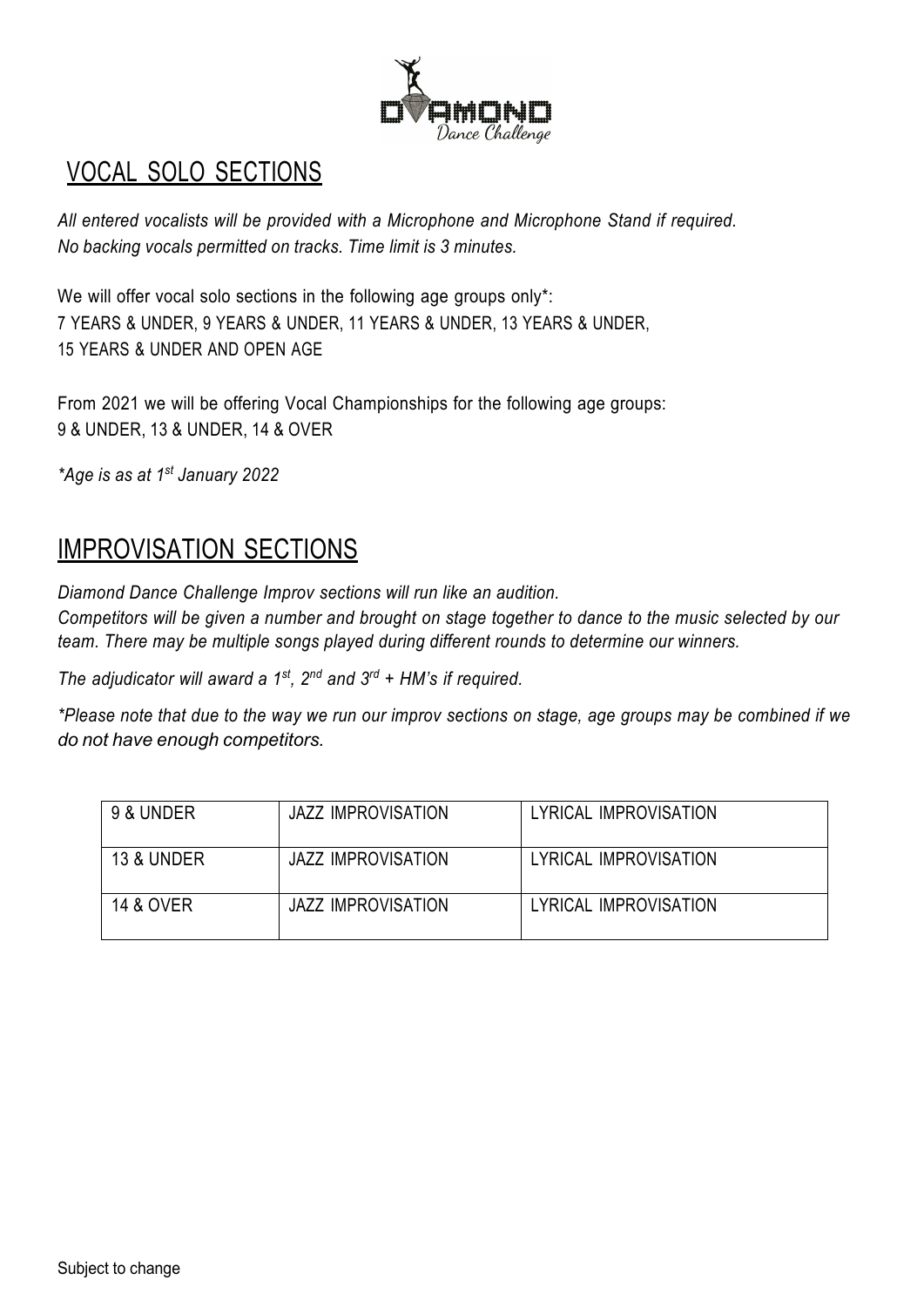

## VOCAL SOLO SECTIONS

*All entered vocalists will be provided with a Microphone and Microphone Stand if required. No backing vocals permitted on tracks. Time limit is 3 minutes.*

We will offer vocal solo sections in the following age groups only\*: 7 YEARS & UNDER, 9 YEARS & UNDER, 11 YEARS & UNDER, 13 YEARS & UNDER, 15 YEARS & UNDER AND OPEN AGE

From 2021 we will be offering Vocal Championships for the following age groups: 9 & UNDER, 13 & UNDER, 14 & OVER

*\*Age is as at 1st January 2022*

## IMPROVISATION SECTIONS

*Diamond Dance Challenge Improv sections will run like an audition.* Competitors will be given a number and brought on stage together to dance to the music selected by our *team. There may be multiple songs played during different rounds to determine our winners.*

*The adjudicator will award a 1st, 2nd and 3rd + HM's if required.*

\*Please note that due to the way we run our improv sections on stage, age groups may be combined if we *do not have enough competitors.*

| 9 & UNDER            | <b>JAZZ IMPROVISATION</b> | LYRICAL IMPROVISATION |
|----------------------|---------------------------|-----------------------|
| 13 & UNDER           | JAZZ IMPROVISATION        | LYRICAL IMPROVISATION |
| <b>14 &amp; OVER</b> | JAZZ IMPROVISATION        | LYRICAL IMPROVISATION |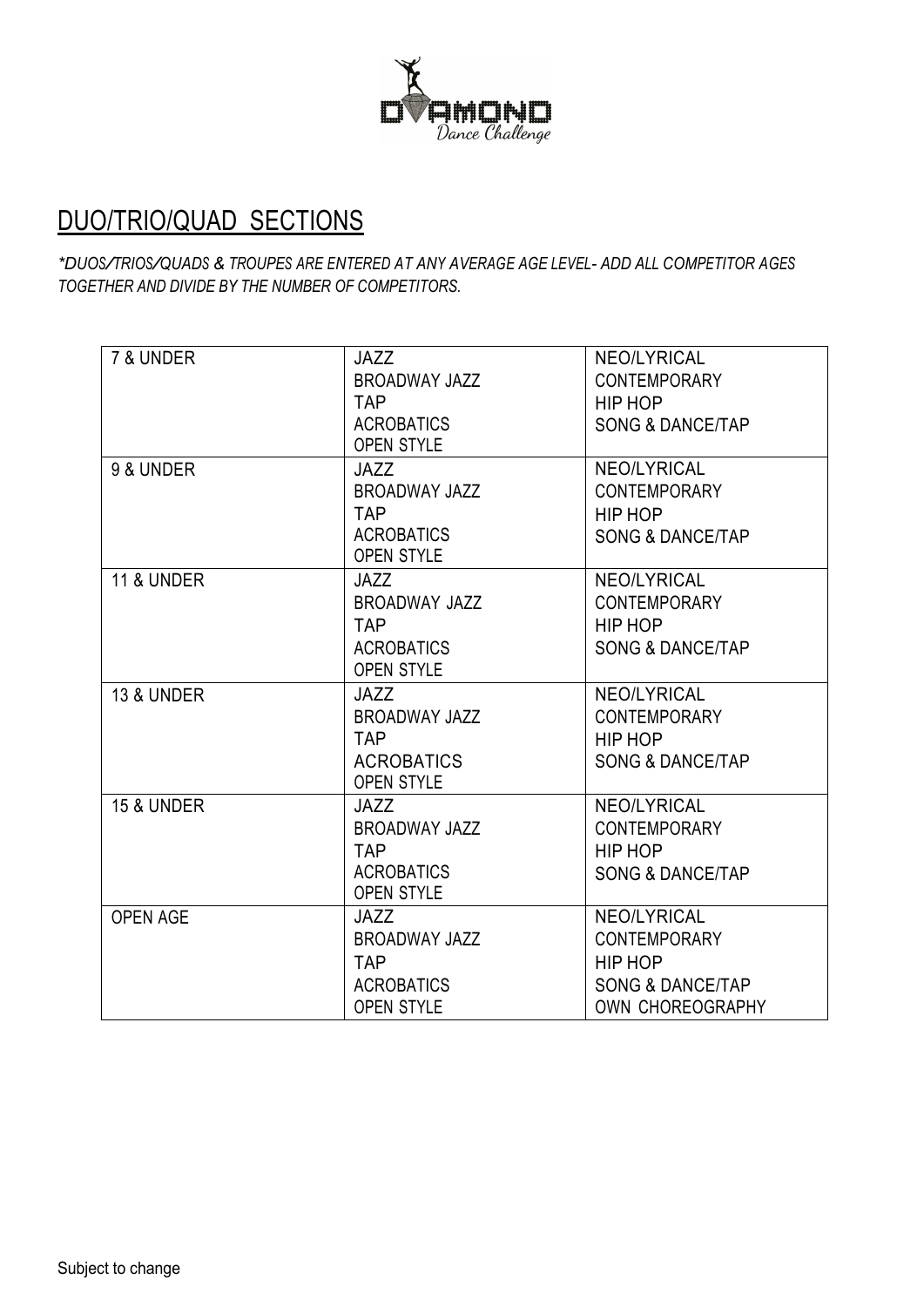

## DUO/TRIO/QUAD SECTIONS

*\*DUOS/TRIOS/QUADS & TROUPES ARE ENTERED AT ANY AVERAGE AGE LEVEL- ADD ALL COMPETITOR AGES TOGETHER AND DIVIDE BY THE NUMBER OF COMPETITORS.*

| 7 & UNDER             | <b>JAZZ</b>          | NEO/LYRICAL                 |
|-----------------------|----------------------|-----------------------------|
|                       | <b>BROADWAY JAZZ</b> | <b>CONTEMPORARY</b>         |
|                       | <b>TAP</b>           | HIP HOP                     |
|                       | <b>ACROBATICS</b>    | <b>SONG &amp; DANCE/TAP</b> |
|                       | <b>OPEN STYLE</b>    |                             |
| 9 & UNDER             | <b>JAZZ</b>          | <b>NEO/LYRICAL</b>          |
|                       | <b>BROADWAY JAZZ</b> | <b>CONTEMPORARY</b>         |
|                       | <b>TAP</b>           | HIP HOP                     |
|                       | <b>ACROBATICS</b>    | <b>SONG &amp; DANCE/TAP</b> |
|                       | <b>OPEN STYLE</b>    |                             |
| <b>11 &amp; UNDER</b> | <b>JAZZ</b>          | <b>NEO/LYRICAL</b>          |
|                       | <b>BROADWAY JAZZ</b> | <b>CONTEMPORARY</b>         |
|                       | <b>TAP</b>           | HIP HOP                     |
|                       | <b>ACROBATICS</b>    | <b>SONG &amp; DANCE/TAP</b> |
|                       | <b>OPEN STYLE</b>    |                             |
| <b>13 &amp; UNDER</b> | <b>JAZZ</b>          | <b>NEO/LYRICAL</b>          |
|                       | <b>BROADWAY JAZZ</b> | <b>CONTEMPORARY</b>         |
|                       | <b>TAP</b>           | HIP HOP                     |
|                       | <b>ACROBATICS</b>    | <b>SONG &amp; DANCE/TAP</b> |
|                       | <b>OPEN STYLE</b>    |                             |
| <b>15 &amp; UNDER</b> | <b>JAZZ</b>          | <b>NEO/LYRICAL</b>          |
|                       | <b>BROADWAY JAZZ</b> | <b>CONTEMPORARY</b>         |
|                       | <b>TAP</b>           | HIP HOP                     |
|                       | <b>ACROBATICS</b>    | <b>SONG &amp; DANCE/TAP</b> |
|                       | OPEN STYLE           |                             |
| <b>OPEN AGE</b>       | <b>JAZZ</b>          | NEO/LYRICAL                 |
|                       | <b>BROADWAY JAZZ</b> | <b>CONTEMPORARY</b>         |
|                       | <b>TAP</b>           | HIP HOP                     |
|                       | <b>ACROBATICS</b>    | <b>SONG &amp; DANCE/TAP</b> |
|                       | <b>OPEN STYLE</b>    | OWN CHOREOGRAPHY            |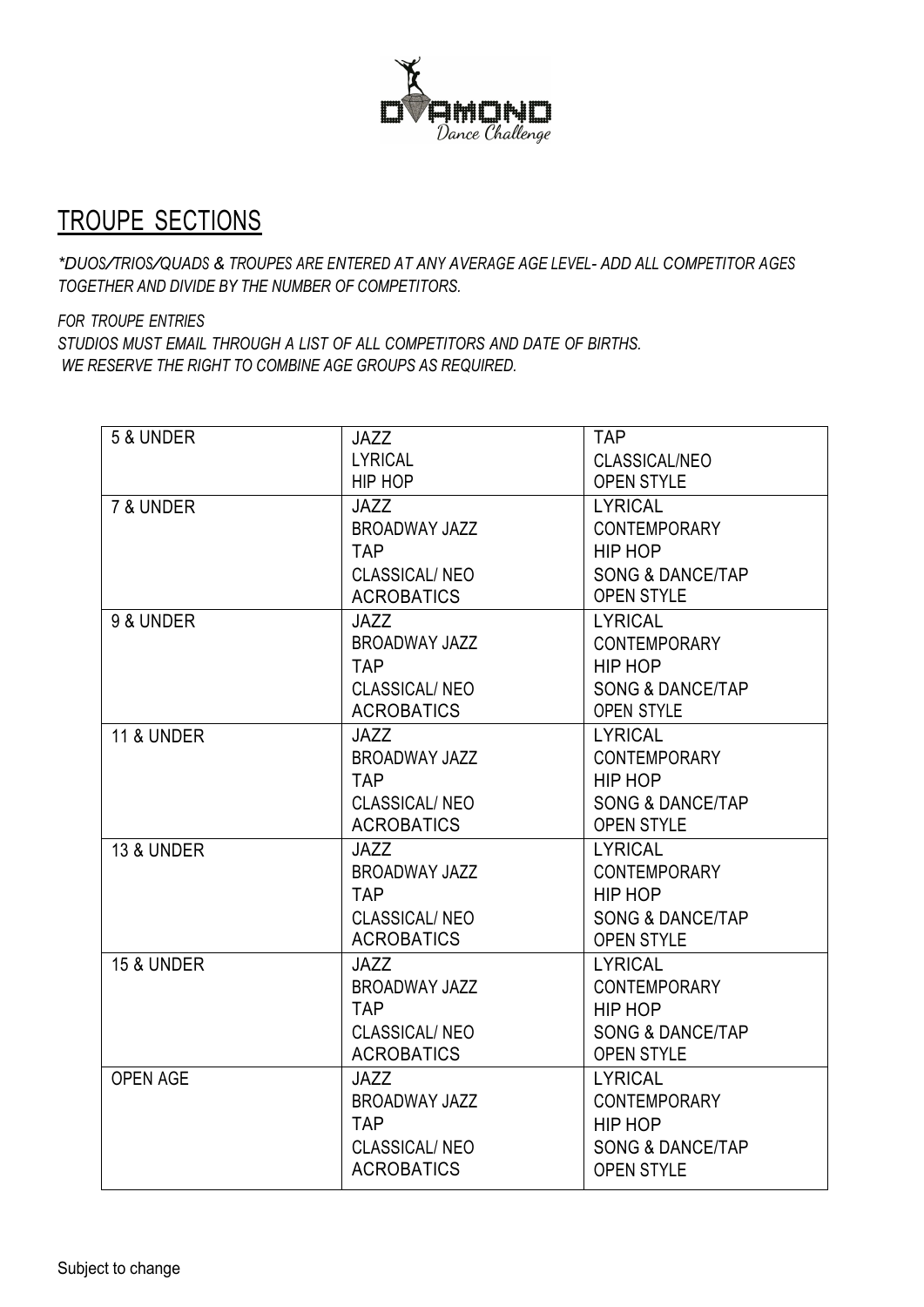

## TROUPE SECTIONS

*\*DUOS/TRIOS/QUADS & TROUPES ARE ENTERED AT ANY AVERAGE AGE LEVEL- ADD ALL COMPETITOR AGES TOGETHER AND DIVIDE BY THE NUMBER OF COMPETITORS.*

*FOR TROUPE ENTRIES*

*STUDIOS MUST EMAIL THROUGH A LIST OF ALL COMPETITORS AND DATE OF BIRTHS. WE RESERVE THE RIGHT TO COMBINE AGE GROUPS AS REQUIRED.*

| 5 & UNDER             | <b>JAZZ</b>          | <b>TAP</b>                  |
|-----------------------|----------------------|-----------------------------|
|                       | <b>LYRICAL</b>       | CLASSICAL/NEO               |
|                       | HIP HOP              | <b>OPEN STYLE</b>           |
| 7 & UNDER             | <b>JAZZ</b>          | <b>LYRICAL</b>              |
|                       | <b>BROADWAY JAZZ</b> | <b>CONTEMPORARY</b>         |
|                       | <b>TAP</b>           | HIP HOP                     |
|                       | <b>CLASSICAL/NEO</b> | <b>SONG &amp; DANCE/TAP</b> |
|                       | <b>ACROBATICS</b>    | <b>OPEN STYLE</b>           |
| 9 & UNDER             | <b>JAZZ</b>          | <b>LYRICAL</b>              |
|                       | BROADWAY JAZZ        | <b>CONTEMPORARY</b>         |
|                       | <b>TAP</b>           | HIP HOP                     |
|                       | <b>CLASSICAL/NEO</b> | <b>SONG &amp; DANCE/TAP</b> |
|                       | <b>ACROBATICS</b>    | <b>OPEN STYLE</b>           |
| <b>11 &amp; UNDER</b> | <b>JAZZ</b>          | <b>LYRICAL</b>              |
|                       | <b>BROADWAY JAZZ</b> | <b>CONTEMPORARY</b>         |
|                       | <b>TAP</b>           | HIP HOP                     |
|                       | <b>CLASSICAL/NEO</b> | <b>SONG &amp; DANCE/TAP</b> |
|                       | <b>ACROBATICS</b>    | <b>OPEN STYLE</b>           |
| <b>13 &amp; UNDER</b> | JAZZ                 | <b>LYRICAL</b>              |
|                       | BROADWAY JAZZ        | <b>CONTEMPORARY</b>         |
|                       | <b>TAP</b>           | HIP HOP                     |
|                       | <b>CLASSICAL/NEO</b> | <b>SONG &amp; DANCE/TAP</b> |
|                       | <b>ACROBATICS</b>    | <b>OPEN STYLE</b>           |
| <b>15 &amp; UNDER</b> | <b>JAZZ</b>          | <b>LYRICAL</b>              |
|                       | <b>BROADWAY JAZZ</b> | <b>CONTEMPORARY</b>         |
|                       | <b>TAP</b>           | HIP HOP                     |
|                       | CLASSICAL/NEO        | <b>SONG &amp; DANCE/TAP</b> |
|                       | <b>ACROBATICS</b>    | <b>OPEN STYLE</b>           |
| <b>OPEN AGE</b>       | <b>JAZZ</b>          | <b>LYRICAL</b>              |
|                       | <b>BROADWAY JAZZ</b> | <b>CONTEMPORARY</b>         |
|                       | <b>TAP</b>           | HIP HOP                     |
|                       | <b>CLASSICAL/NEO</b> | <b>SONG &amp; DANCE/TAP</b> |
|                       | <b>ACROBATICS</b>    | <b>OPEN STYLE</b>           |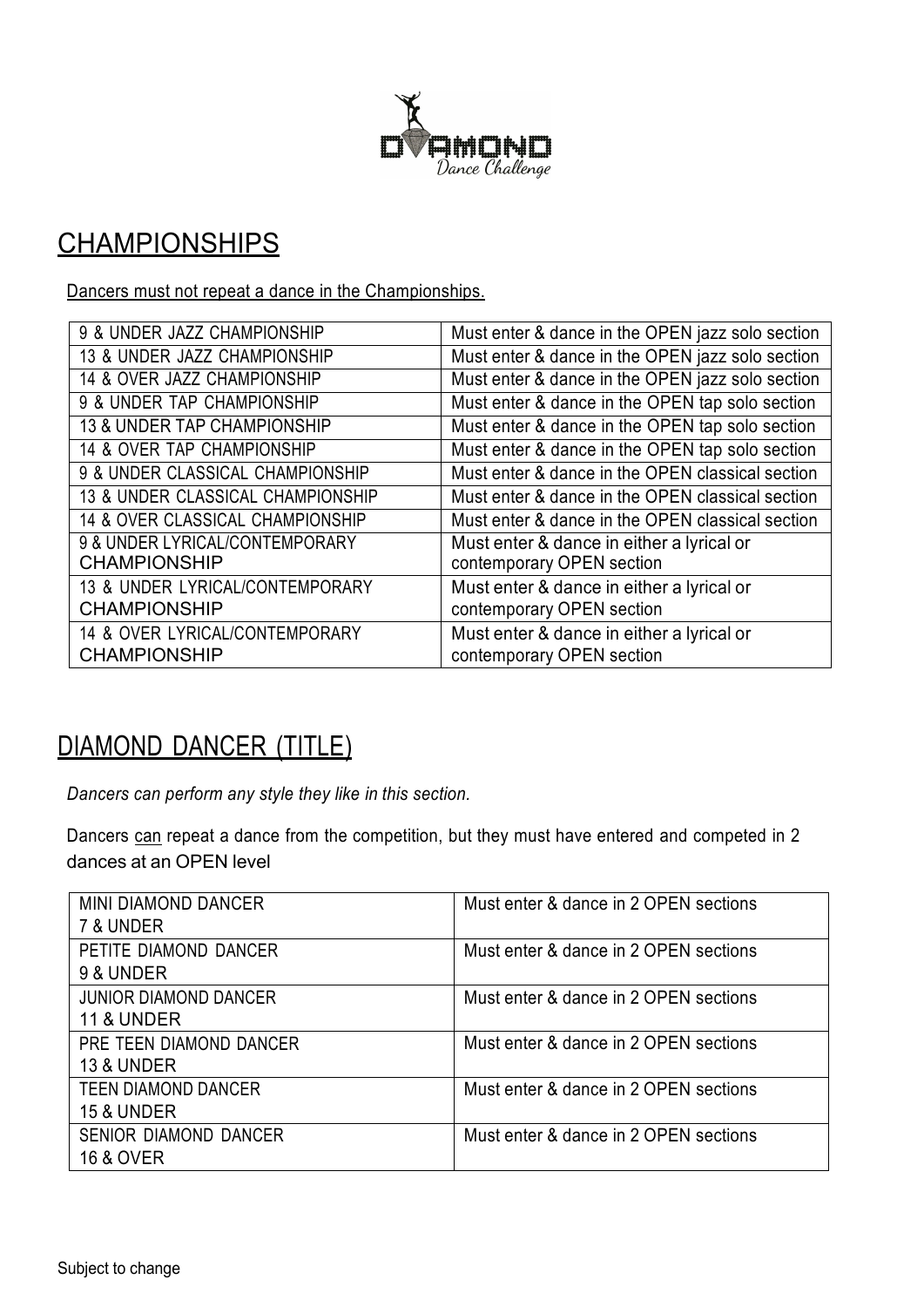

## **CHAMPIONSHIPS**

Dancers must not repeat a dance in the Championships.

| 9 & UNDER JAZZ CHAMPIONSHIP            | Must enter & dance in the OPEN jazz solo section |
|----------------------------------------|--------------------------------------------------|
| 13 & UNDER JAZZ CHAMPIONSHIP           | Must enter & dance in the OPEN jazz solo section |
| 14 & OVER JAZZ CHAMPIONSHIP            | Must enter & dance in the OPEN jazz solo section |
| 9 & UNDER TAP CHAMPIONSHIP             | Must enter & dance in the OPEN tap solo section  |
| <b>13 &amp; UNDER TAP CHAMPIONSHIP</b> | Must enter & dance in the OPEN tap solo section  |
| 14 & OVER TAP CHAMPIONSHIP             | Must enter & dance in the OPEN tap solo section  |
| 9 & UNDER CLASSICAL CHAMPIONSHIP       | Must enter & dance in the OPEN classical section |
| 13 & UNDER CLASSICAL CHAMPIONSHIP      | Must enter & dance in the OPEN classical section |
| 14 & OVER CLASSICAL CHAMPIONSHIP       | Must enter & dance in the OPEN classical section |
| 9 & UNDER LYRICAL/CONTEMPORARY         | Must enter & dance in either a lyrical or        |
| <b>CHAMPIONSHIP</b>                    | contemporary OPEN section                        |
| 13 & UNDER LYRICAL/CONTEMPORARY        | Must enter & dance in either a lyrical or        |
| <b>CHAMPIONSHIP</b>                    | contemporary OPEN section                        |
| 14 & OVER LYRICAL/CONTEMPORARY         | Must enter & dance in either a lyrical or        |
| <b>CHAMPIONSHIP</b>                    | contemporary OPEN section                        |

## DIAMOND DANCER (TITLE)

*Dancers can perform any style they like in this section.*

Dancers can repeat a dance from the competition, but they must have entered and competed in 2 dances at an OPEN level

| <b>MINI DIAMOND DANCER</b><br>7 & UNDER               | Must enter & dance in 2 OPEN sections |
|-------------------------------------------------------|---------------------------------------|
| PETITE DIAMOND DANCER<br>9 & UNDER                    | Must enter & dance in 2 OPEN sections |
| <b>JUNIOR DIAMOND DANCER</b><br><b>11 &amp; UNDER</b> | Must enter & dance in 2 OPEN sections |
| PRE TEEN DIAMOND DANCER<br><b>13 &amp; UNDER</b>      | Must enter & dance in 2 OPEN sections |
| <b>TEEN DIAMOND DANCER</b><br>15 & UNDER              | Must enter & dance in 2 OPEN sections |
| <b>SENIOR DIAMOND DANCER</b><br><b>16 &amp; OVER</b>  | Must enter & dance in 2 OPEN sections |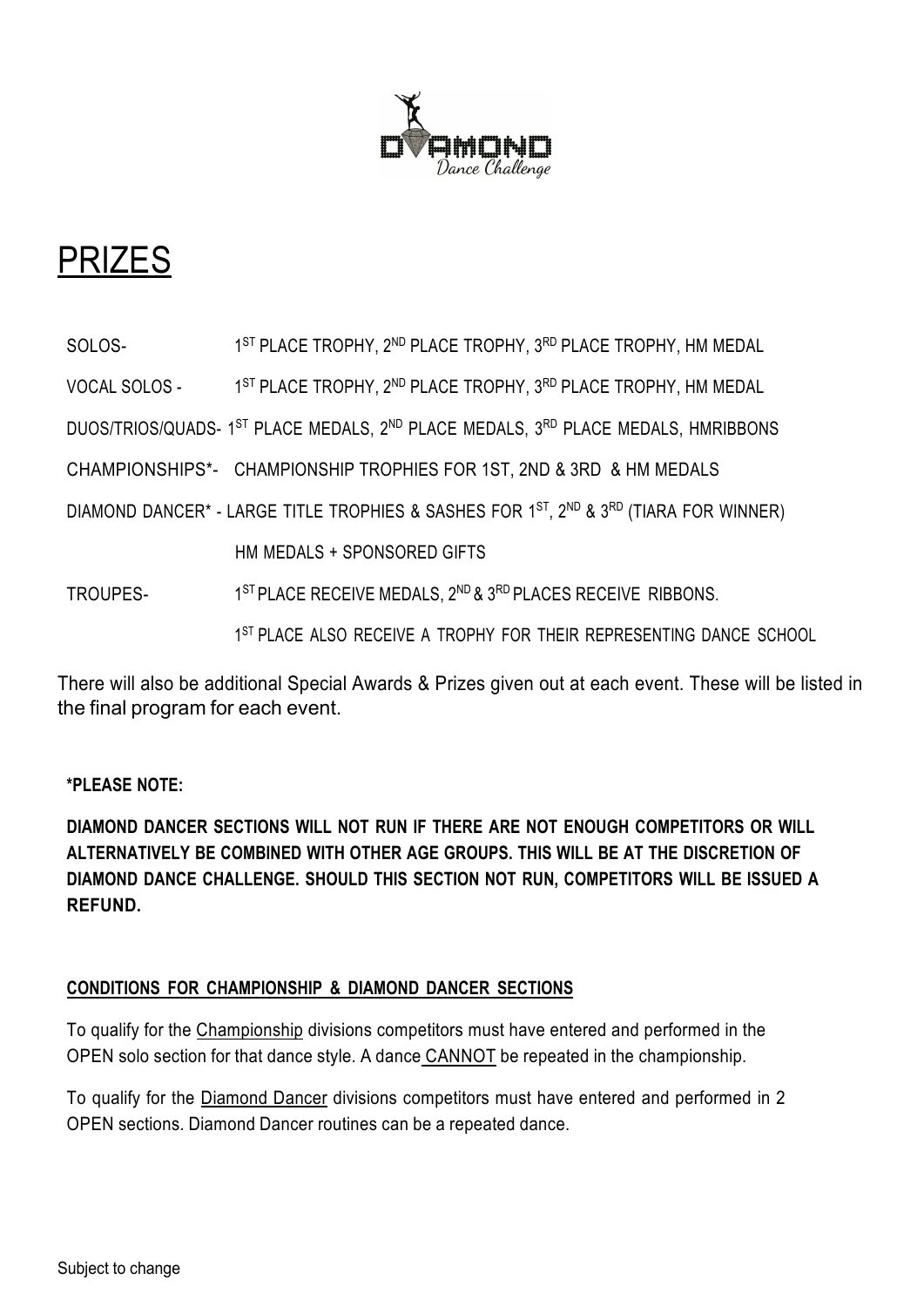

# PRIZES

SOLOS- 1<sup>ST</sup> PLACE TROPHY, 2<sup>ND</sup> PLACE TROPHY, 3<sup>RD</sup> PLACE TROPHY, HM MEDAL

VOCAL SOLOS - 1<sup>ST</sup> PLACE TROPHY, 2<sup>ND</sup> PLACE TROPHY, 3<sup>RD</sup> PLACE TROPHY, HM MEDAL

DUOS/TRIOS/QUADS- 1<sup>ST</sup> PLACE MEDALS, 2<sup>ND</sup> PLACE MEDALS, 3<sup>RD</sup> PLACE MEDALS, HMRIBBONS

CHAMPIONSHIPS\*- CHAMPIONSHIP TROPHIES FOR 1ST, 2ND & 3RD & HM MEDALS

DIAMOND DANCER<sup>\*</sup> - LARGE TITLE TROPHIES & SASHES FOR 1<sup>ST</sup>, 2<sup>ND</sup> & 3<sup>RD</sup> (TIARA FOR WINNER)

HM MEDALS + SPONSORED GIFTS

TROUPES- 1<sup>ST</sup> PLACE RECEIVE MEDALS, 2<sup>ND</sup> & 3<sup>RD</sup> PLACES RECEIVE RIBBONS.

1<sup>ST</sup> PLACE ALSO RECEIVE A TROPHY FOR THEIR REPRESENTING DANCE SCHOOL

There will also be additional Special Awards & Prizes given out at each event. These will be listed in the final program for each event.

### **\*PLEASE NOTE:**

**DIAMOND DANCER SECTIONS WILL NOT RUN IF THERE ARE NOT ENOUGH COMPETITORS OR WILL ALTERNATIVELY BE COMBINED WITH OTHER AGE GROUPS. THIS WILL BE AT THE DISCRETION OF DIAMOND DANCE CHALLENGE. SHOULD THIS SECTION NOT RUN, COMPETITORS WILL BE ISSUED A REFUND.**

### **CONDITIONS FOR CHAMPIONSHIP & DIAMOND DANCER SECTIONS**

To qualify for the Championship divisions competitors must have entered and performed in the OPEN solo section for that dance style. A dance CANNOT be repeated in the championship.

To qualify for the Diamond Dancer divisions competitors must have entered and performed in 2 OPEN sections. Diamond Dancer routines can be a repeated dance.